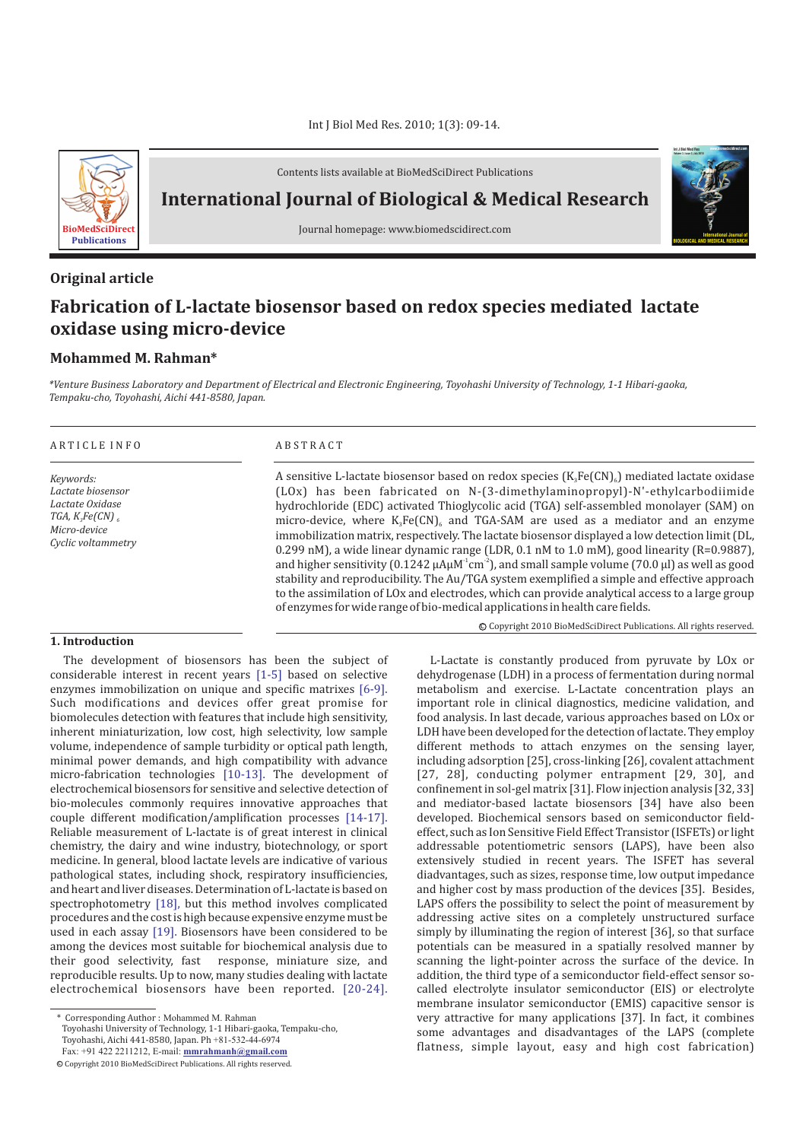

Contents lists available at BioMedSciDirect Publications

**International Journal of Biological & Medical Research**

Journal homepage: www.biomedscidirect.com

# **Original article**

# **Fabrication of L-lactate biosensor based on redox species mediated lactate oxidase using micro-device**

# **Mohammed M. Rahman\***

*\*Venture Business Laboratory and Department of Electrical and Electronic Engineering, Toyohashi University of Technology, 1-1 Hibari-gaoka, Tempaku-cho, Toyohashi, Aichi 441-8580, Japan.*

# A R T I C L E I N F O A B S T R A C T

*Keywords: Lactate biosensor Lactate Oxidase TGA, K Fe(CN) 3 6 Micro-device Cyclic voltammetry*

A sensitive L-lactate biosensor based on redox species  $\rm\,K_sFe(CN)_{\rm 6}$  ) mediated lactate oxidase (LOx) has been fabricated on N-(3-dimethylaminopropyl)-N'-ethylcarbodiimide hydrochloride (EDC) activated Thioglycolic acid (TGA) self-assembled monolayer (SAM) on micro-device, where  $K_3Fe(CN)_6$  and TGA-SAM are used as a mediator and an enzyme immobilization matrix, respectively. The lactate biosensor displayed a low detection limit (DL, 0.299 nM), a wide linear dynamic range (LDR, 0.1 nM to 1.0 mM), good linearity (R=0.9887), and higher sensitivity (0.1242  $\mu$ A $\mu$ M $^{\text{-}}$ cm $^{\text{-}}$ ), and small sample volume (70.0  $\mu$ l) as well as good stability and reproducibility. The Au/TGA system exemplified a simple and effective approach to the assimilation of LOx and electrodes, which can provide analytical access to a large group of enzymes for wide range of bio-medical applications in health care fields.

**1. Introduction**

The development of biosensors has been the subject of considerable interest in recent years [1-5] based on selective enzymes immobilization on unique and specific matrixes [6-9]. Such modifications and devices offer great promise for biomolecules detection with features that include high sensitivity, inherent miniaturization, low cost, high selectivity, low sample volume, independence of sample turbidity or optical path length, minimal power demands, and high compatibility with advance micro-fabrication technologies [10-13]. The development of electrochemical biosensors for sensitive and selective detection of bio-molecules commonly requires innovative approaches that couple different modification/amplification processes [14-17]. Reliable measurement of L-lactate is of great interest in clinical chemistry, the dairy and wine industry, biotechnology, or sport medicine. In general, blood lactate levels are indicative of various pathological states, including shock, respiratory insufficiencies, and heart and liver diseases. Determination of L-lactate is based on spectrophotometry [18], but this method involves complicated procedures and the cost is high because expensive enzyme must be used in each assay [19]. Biosensors have been considered to be among the devices most suitable for biochemical analysis due to their good selectivity, fast response, miniature size, and reproducible results. Up to now, many studies dealing with lactate electrochemical biosensors have been reported. [20-24].

L-Lactate is constantly produced from pyruvate by LOx or dehydrogenase (LDH) in a process of fermentation during normal metabolism and exercise. L-Lactate concentration plays an important role in clinical diagnostics, medicine validation, and food analysis. In last decade, various approaches based on LOx or LDH have been developed for the detection of lactate. They employ different methods to attach enzymes on the sensing layer, including adsorption [25], cross-linking [26], covalent attachment [27, 28], conducting polymer entrapment [29, 30], and confinement in sol-gel matrix [31]. Flow injection analysis [32, 33] and mediator-based lactate biosensors [34] have also been developed. Biochemical sensors based on semiconductor fieldeffect, such as Ion Sensitive Field Effect Transistor (ISFETs) or light addressable potentiometric sensors (LAPS), have been also extensively studied in recent years. The ISFET has several diadvantages, such as sizes, response time, low output impedance and higher cost by mass production of the devices [35]. Besides, LAPS offers the possibility to select the point of measurement by addressing active sites on a completely unstructured surface simply by illuminating the region of interest [36], so that surface potentials can be measured in a spatially resolved manner by scanning the light-pointer across the surface of the device. In addition, the third type of a semiconductor field-effect sensor socalled electrolyte insulator semiconductor (EIS) or electrolyte membrane insulator semiconductor (EMIS) capacitive sensor is very attractive for many applications [37]. In fact, it combines some advantages and disadvantages of the LAPS (complete flatness, simple layout, easy and high cost fabrication)

c Copyright 2010 BioMedSciDirect Publications. All rights reserved.

**International Journal of BIOLOGICAL AND MEDICAL RESEARCH**

**Int J Biol Med Res www.biomedscidirect.com Volume 3, Issue 3, July 2010**

<sup>\*</sup> Corresponding Author : Mohammed M. Rahman

Toyohashi University of Technology, 1-1 Hibari-gaoka, Tempaku-cho, Toyohashi, Aichi 441-8580, Japan. Ph +81-532-44-6974

Fax: +91 422 2211212, E-mail: **mmrahmanh@gmail.com**

c Copyright 2010 BioMedSciDirect Publications. All rights reserved.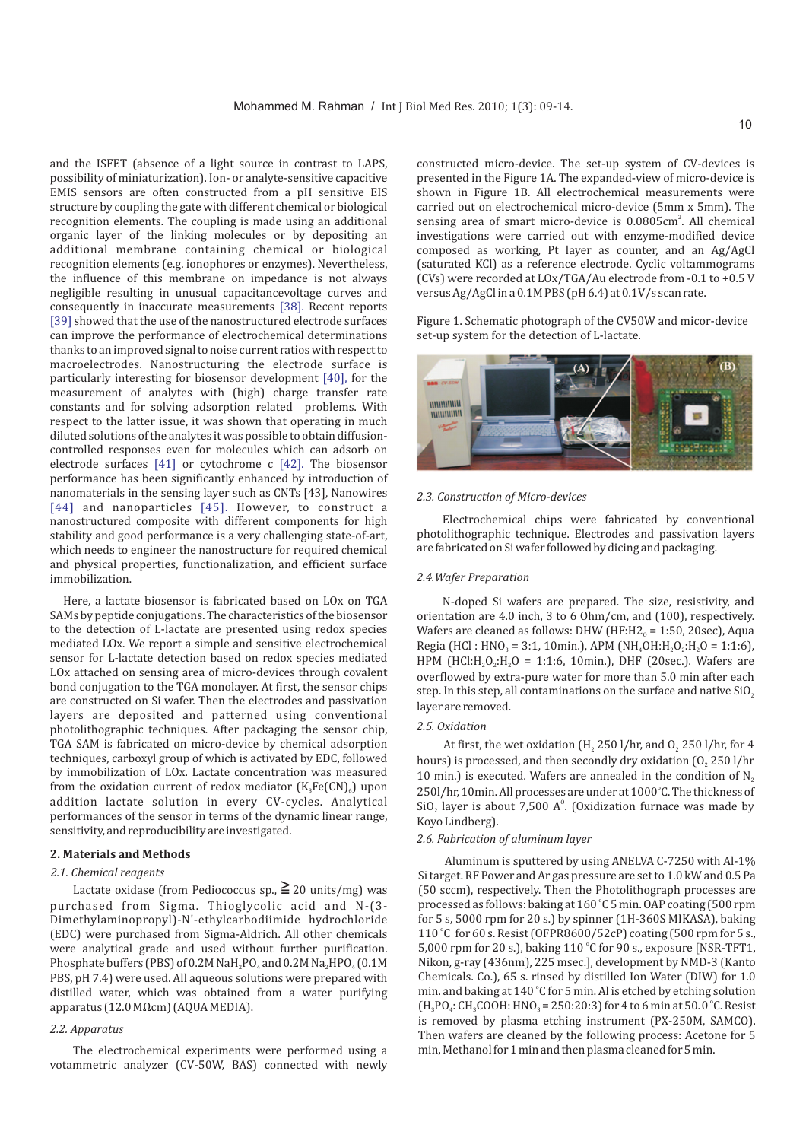and the ISFET (absence of a light source in contrast to LAPS, possibility of miniaturization). Ion- or analyte-sensitive capacitive EMIS sensors are often constructed from a pH sensitive EIS structure by coupling the gate with different chemical or biological recognition elements. The coupling is made using an additional organic layer of the linking molecules or by depositing an additional membrane containing chemical or biological recognition elements (e.g. ionophores or enzymes). Nevertheless, the influence of this membrane on impedance is not always negligible resulting in unusual capacitancevoltage curves and consequently in inaccurate measurements [38]. Recent reports [39] showed that the use of the nanostructured electrode surfaces can improve the performance of electrochemical determinations thanks to an improved signal to noise current ratios with respect to macroelectrodes. Nanostructuring the electrode surface is particularly interesting for biosensor development [40], for the measurement of analytes with (high) charge transfer rate constants and for solving adsorption related problems. With respect to the latter issue, it was shown that operating in much diluted solutions of the analytes it was possible to obtain diffusioncontrolled responses even for molecules which can adsorb on electrode surfaces  $[41]$  or cytochrome c  $[42]$ . The biosensor performance has been significantly enhanced by introduction of nanomaterials in the sensing layer such as CNTs [43], Nanowires [44] and nanoparticles [45]. However, to construct a nanostructured composite with different components for high stability and good performance is a very challenging state-of-art, which needs to engineer the nanostructure for required chemical and physical properties, functionalization, and efficient surface immobilization.

Here, a lactate biosensor is fabricated based on LOx on TGA SAMs by peptide conjugations. The characteristics of the biosensor to the detection of L-lactate are presented using redox species mediated LOx. We report a simple and sensitive electrochemical sensor for L-lactate detection based on redox species mediated LOx attached on sensing area of micro-devices through covalent bond conjugation to the TGA monolayer. At first, the sensor chips are constructed on Si wafer. Then the electrodes and passivation layers are deposited and patterned using conventional photolithographic techniques. After packaging the sensor chip, TGA SAM is fabricated on micro-device by chemical adsorption techniques, carboxyl group of which is activated by EDC, followed by immobilization of LOx. Lactate concentration was measured from the oxidation current of redox mediator  $(\mathrm{K}_{\scriptscriptstyle{3}}\mathrm{Fe(CN)}_{\scriptscriptstyle{6}})$  upon addition lactate solution in every CV-cycles. Analytical performances of the sensor in terms of the dynamic linear range, sensitivity, and reproducibility are investigated.

#### **2. Materials and Methods**

#### *2.1. Chemical reagents*

Lactate oxidase (from Pediococcus sp.,  $\geqq$  20 units/mg) was purchased from Sigma. Thioglycolic acid and N-(3- Dimethylaminopropyl)-N'-ethylcarbodiimide hydrochloride (EDC) were purchased from Sigma-Aldrich. All other chemicals were analytical grade and used without further purification. Phosphate buffers (PBS) of 0.2M NaH $_2$ PO $_4$  and 0.2M Na $_2$ HPO $_4$  (0.1M  $\,$ PBS, pH 7.4) were used. All aqueous solutions were prepared with distilled water, which was obtained from a water purifying apparatus (12.0 MΩcm) (AQUA MEDIA).

### *2.2. Apparatus*

The electrochemical experiments were performed using a votammetric analyzer (CV-50W, BAS) connected with newly constructed micro-device. The set-up system of CV-devices is presented in the Figure 1A. The expanded-view of micro-device is shown in Figure 1B. All electrochemical measurements were carried out on electrochemical micro-device (5mm x 5mm). The sensing area of smart micro-device is 0.0805cm<sup>2</sup>. All chemical investigations were carried out with enzyme-modified device composed as working, Pt layer as counter, and an Ag/AgCl (saturated KCl) as a reference electrode. Cyclic voltammograms (CVs) were recorded at LOx/TGA/Au electrode from -0.1 to +0.5 V versus Ag/AgCl in a 0.1M PBS (pH 6.4) at 0.1V/s scan rate.

Figure 1. Schematic photograph of the CV50W and micor-device set-up system for the detection of L-lactate.



#### *2.3. Construction of Micro-devices*

Electrochemical chips were fabricated by conventional photolithographic technique. Electrodes and passivation layers are fabricated on Si wafer followed by dicing and packaging.

#### *2.4.Wafer Preparation*

N-doped Si wafers are prepared. The size, resistivity, and orientation are 4.0 inch, 3 to 6 Ohm/cm, and (100), respectively. Wafers are cleaned as follows: DHW (HF:H2 $_{\tiny \text{o}}$  = 1:50, 20sec), Aqua Regia (HCl : HNO<sub>3</sub> = 3:1, 10min.), APM (NH<sub>4</sub>OH:H<sub>2</sub>O<sub>2</sub>:H<sub>2</sub>O = 1:1:6), HPM (HCl: $H_2O_2$ : $H_2O = 1:1:6$ , 10min.), DHF (20sec.). Wafers are overflowed by extra-pure water for more than 5.0 min after each step. In this step, all contaminations on the surface and native  $\mathrm{SiO}_{\scriptscriptstyle{2}}$ layer are removed.

#### *2.5. Oxidation*

At first, the wet oxidation (H $_{\rm 2}$  250 l/hr, and O $_{\rm 2}$  250 l/hr, for 4 hours) is processed, and then secondly dry oxidation (O $_{\tiny 2}$  250 l/hr 10 min.) is executed. Wafers are annealed in the condition of  $N_z$ 250l/hr, 10min. All processes are under at 1000°C. The thickness of  $SiO<sub>2</sub>$  layer is about 7,500  $A<sup>o</sup>$ . (Oxidization furnace was made by Koyo Lindberg).

# *2.6. Fabrication of aluminum layer*

Aluminum is sputtered by using ANELVA C-7250 with Al-1% Si target. RF Power and Ar gas pressure are set to 1.0 kW and 0.5 Pa (50 sccm), respectively. Then the Photolithograph processes are processed as follows: baking at 160 °C 5 min. OAP coating (500 rpm for 5 s, 5000 rpm for 20 s.) by spinner (1H-360S MIKASA), baking 110 °C for 60 s. Resist (OFPR8600/52cP) coating (500 rpm for 5 s., 5,000 rpm for 20 s.), baking 110 °C for 90 s., exposure [NSR-TFT1, Nikon, g-ray (436nm), 225 msec.], development by NMD-3 (Kanto Chemicals. Co.), 65 s. rinsed by distilled Ion Water (DIW) for 1.0 min. and baking at 140 °C for 5 min. Al is etched by etching solution  $(H_3PO_4$ : CH<sub>3</sub>COOH: HNO<sub>3</sub> = 250:20:3) for 4 to 6 min at 50.0 °C. Resist is removed by plasma etching instrument (PX-250M, SAMCO). Then wafers are cleaned by the following process: Acetone for 5 min, Methanol for 1 min and then plasma cleaned for 5 min.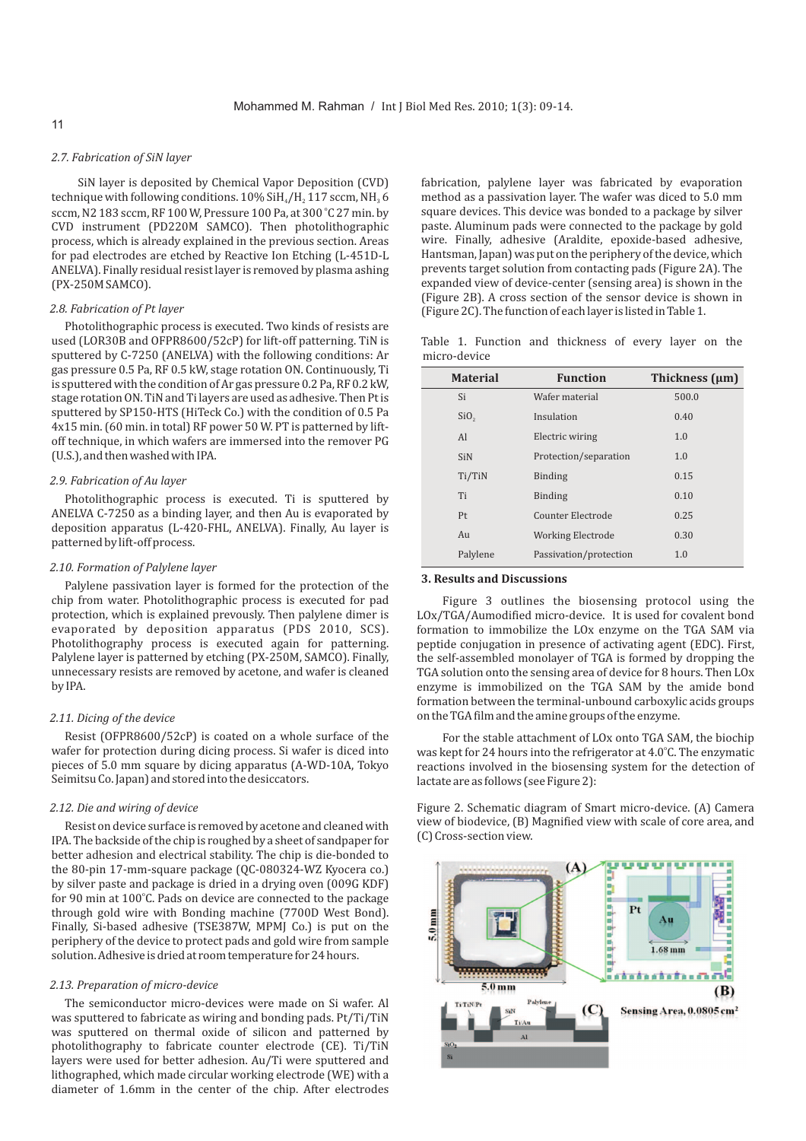# *2.7. Fabrication of SiN layer*

SiN layer is deposited by Chemical Vapor Deposition (CVD) technique with following conditions.  $10\%$  SiH $_4$ /H $_2$  117 sccm, NH $_3$  6 sccm, N2 183 sccm, RF 100 W, Pressure 100 Pa, at 300 °C 27 min. by CVD instrument (PD220M SAMCO). Then photolithographic process, which is already explained in the previous section. Areas for pad electrodes are etched by Reactive Ion Etching (L-451D-L ANELVA). Finally residual resist layer is removed by plasma ashing (PX-250M SAMCO).

Photolithographic process is executed. Two kinds of resists are used (LOR30B and OFPR8600/52cP) for lift-off patterning. TiN is sputtered by C-7250 (ANELVA) with the following conditions: Ar gas pressure 0.5 Pa, RF 0.5 kW, stage rotation ON. Continuously, Ti is sputtered with the condition of Ar gas pressure 0.2 Pa, RF 0.2 kW, stage rotation ON. TiN and Ti layers are used as adhesive. Then Pt is sputtered by SP150-HTS (HiTeck Co.) with the condition of 0.5 Pa 4x15 min. (60 min. in total) RF power 50 W. PT is patterned by liftoff technique, in which wafers are immersed into the remover PG (U.S.), and then washed with IPA.

#### *2.9. Fabrication of Au layer*

Photolithographic process is executed. Ti is sputtered by ANELVA C-7250 as a binding layer, and then Au is evaporated by deposition apparatus (L-420-FHL, ANELVA). Finally, Au layer is patterned by lift-off process.

### *2.10. Formation of Palylene layer*

Palylene passivation layer is formed for the protection of the chip from water. Photolithographic process is executed for pad protection, which is explained prevously. Then palylene dimer is evaporated by deposition apparatus (PDS 2010, SCS). Photolithography process is executed again for patterning. Palylene layer is patterned by etching (PX-250M, SAMCO). Finally, unnecessary resists are removed by acetone, and wafer is cleaned by IPA.

# *2.11. Dicing of the device*

Resist (OFPR8600/52cP) is coated on a whole surface of the wafer for protection during dicing process. Si wafer is diced into pieces of 5.0 mm square by dicing apparatus (A-WD-10A, Tokyo Seimitsu Co. Japan) and stored into the desiccators.

# *2.12. Die and wiring of device*

Resist on device surface is removed by acetone and cleaned with IPA. The backside of the chip is roughed by a sheet of sandpaper for better adhesion and electrical stability. The chip is die-bonded to the 80-pin 17-mm-square package (QC-080324-WZ Kyocera co.) by silver paste and package is dried in a drying oven (009G KDF) for 90 min at 100°C. Pads on device are connected to the package through gold wire with Bonding machine (7700D West Bond). Finally, Si-based adhesive (TSE387W, MPMJ Co.) is put on the periphery of the device to protect pads and gold wire from sample solution. Adhesive is dried at room temperature for 24 hours.

# *2.13. Preparation of micro-device*

The semiconductor micro-devices were made on Si wafer. Al was sputtered to fabricate as wiring and bonding pads. Pt/Ti/TiN was sputtered on thermal oxide of silicon and patterned by photolithography to fabricate counter electrode (CE). Ti/TiN layers were used for better adhesion. Au/Ti were sputtered and lithographed, which made circular working electrode (WE) with a diameter of 1.6mm in the center of the chip. After electrodes

fabrication, palylene layer was fabricated by evaporation method as a passivation layer. The wafer was diced to 5.0 mm square devices. This device was bonded to a package by silver paste. Aluminum pads were connected to the package by gold wire. Finally, adhesive (Araldite, epoxide-based adhesive, Hantsman, Japan) was put on the periphery of the device, which prevents target solution from contacting pads (Figure 2A). The expanded view of device-center (sensing area) is shown in the (Figure 2B). A cross section of the sensor device is shown in *2.8. Fabrication of Pt layer* (Figure 2C). The function of each layer is listed in Table 1.

Table 1. Function and thickness of every layer on the micro-device

| <b>Material</b>  | <b>Function</b>          | Thickness (µm) |
|------------------|--------------------------|----------------|
| Si               | Wafer material           | 500.0          |
| SiO <sub>2</sub> | Insulation               | 0.40           |
| Al               | Electric wiring          | 1.0            |
| <b>SiN</b>       | Protection/separation    | 1.0            |
| Ti/TiN           | <b>Binding</b>           | 0.15           |
| Ti               | <b>Binding</b>           | 0.10           |
| Pt               | Counter Electrode        | 0.25           |
| Au               | <b>Working Electrode</b> | 0.30           |
| Palylene         | Passivation/protection   | 1.0            |

#### **3. Results and Discussions**

Figure 3 outlines the biosensing protocol using the LOx/TGA/Aumodified micro-device. It is used for covalent bond formation to immobilize the LOx enzyme on the TGA SAM via peptide conjugation in presence of activating agent (EDC). First, the self-assembled monolayer of TGA is formed by dropping the TGA solution onto the sensing area of device for 8 hours. Then LOx enzyme is immobilized on the TGA SAM by the amide bond formation between the terminal-unbound carboxylic acids groups on the TGA film and the amine groups of the enzyme.

For the stable attachment of LOx onto TGA SAM, the biochip was kept for 24 hours into the refrigerator at 4.0°C. The enzymatic reactions involved in the biosensing system for the detection of lactate are as follows (see Figure 2):

Figure 2. Schematic diagram of Smart micro-device. (A) Camera view of biodevice, (B) Magnified view with scale of core area, and (C) Cross-section view.

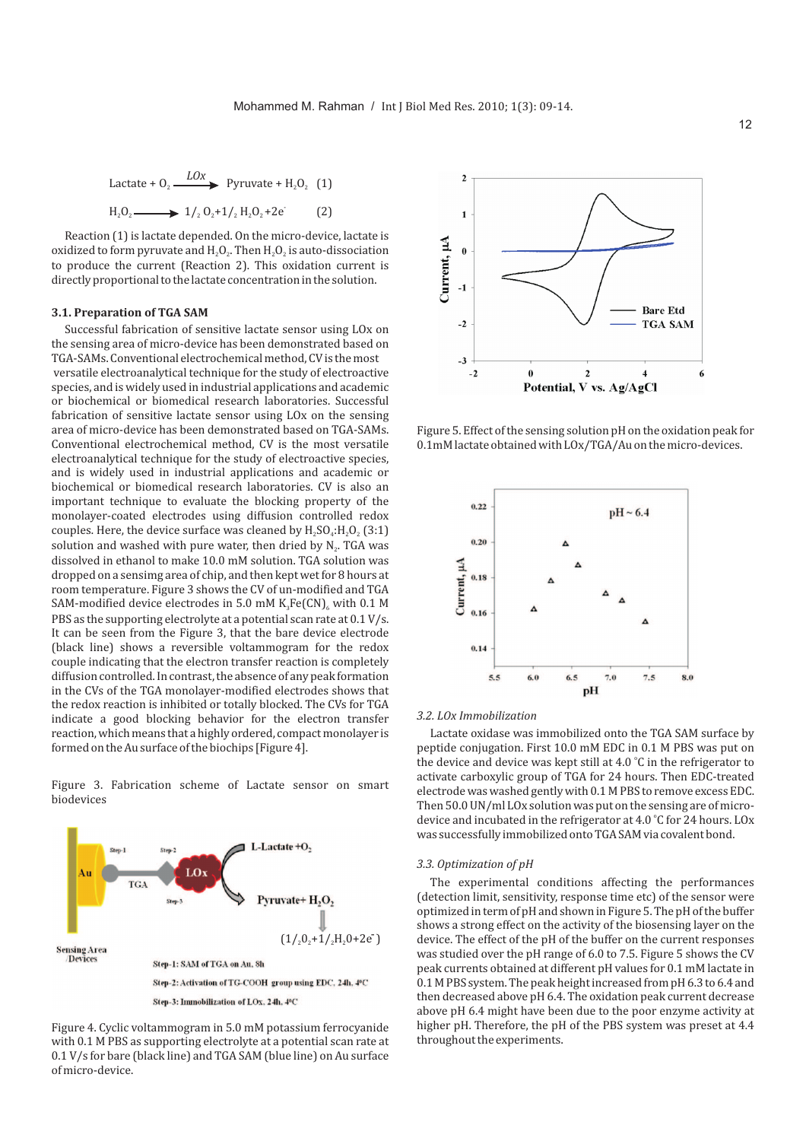Lactate + O<sub>2</sub> 
$$
\xrightarrow{LOx}
$$
 Pyruvate + H<sub>2</sub>O<sub>2</sub> (1)  
H<sub>2</sub>O<sub>2</sub>  $\xrightarrow{1/2}$  O<sub>2</sub>+1/<sub>2</sub>H<sub>2</sub>O<sub>2</sub>+2e (2)

Reaction (1) is lactate depended. On the micro-device, lactate is oxidized to form pyruvate and  $\rm H_2O_2.$  Then  $\rm H_2O_2$  is auto-dissociation to produce the current (Reaction 2). This oxidation current is directly proportional to the lactate concentration in the solution.

#### **3.1. Preparation of TGA SAM**

Successful fabrication of sensitive lactate sensor using LOx on the sensing area of micro-device has been demonstrated based on TGA-SAMs. Conventional electrochemical method, CV is the most versatile electroanalytical technique for the study of electroactive species, and is widely used in industrial applications and academic or biochemical or biomedical research laboratories. Successful fabrication of sensitive lactate sensor using LOx on the sensing area of micro-device has been demonstrated based on TGA-SAMs. Conventional electrochemical method, CV is the most versatile electroanalytical technique for the study of electroactive species, and is widely used in industrial applications and academic or biochemical or biomedical research laboratories. CV is also an important technique to evaluate the blocking property of the monolayer-coated electrodes using diffusion controlled redox couples. Here, the device surface was cleaned by  $\rm H_2SO_4$ : $\rm H_2O_2$  (3:1) solution and washed with pure water, then dried by  $\text{N}_\text{2}$ . TGA was dissolved in ethanol to make 10.0 mM solution. TGA solution was dropped on a sensimg area of chip, and then kept wet for 8 hours at room temperature. Figure 3 shows the CV of un-modified and TGA SAM-modified device electrodes in 5.0 mM  $\rm K_3Fe(CN)_6$  with 0.1 M PBS as the supporting electrolyte at a potential scan rate at 0.1 V/s. It can be seen from the Figure 3, that the bare device electrode (black line) shows a reversible voltammogram for the redox couple indicating that the electron transfer reaction is completely diffusion controlled. In contrast, the absence of any peak formation in the CVs of the TGA monolayer-modified electrodes shows that the redox reaction is inhibited or totally blocked. The CVs for TGA indicate a good blocking behavior for the electron transfer reaction, which means that a highly ordered, compact monolayer is formed on the Au surface of the biochips [Figure 4].

Figure 3. Fabrication scheme of Lactate sensor on smart biodevices



Figure 4. Cyclic voltammogram in 5.0 mM potassium ferrocyanide with 0.1 M PBS as supporting electrolyte at a potential scan rate at 0.1 V/s for bare (black line) and TGA SAM (blue line) on Au surface of micro-device.



Figure 5. Effect of the sensing solution pH on the oxidation peak for 0.1mM lactate obtained with LOx/TGA/Au on the micro-devices.



#### *3.2. LOx Immobilization*

Lactate oxidase was immobilized onto the TGA SAM surface by peptide conjugation. First 10.0 mM EDC in 0.1 M PBS was put on the device and device was kept still at  $4.0\text{ }^{\circ}$ C in the refrigerator to activate carboxylic group of TGA for 24 hours. Then EDC-treated electrode was washed gently with 0.1 M PBS to remove excess EDC. Then 50.0 UN/ml LOx solution was put on the sensing are of microdevice and incubated in the refrigerator at 4.0 °C for 24 hours. LOx was successfully immobilized onto TGA SAM via covalent bond.

### *3.3. Optimization of pH*

The experimental conditions affecting the performances (detection limit, sensitivity, response time etc) of the sensor were optimized in term of pH and shown in Figure 5. The pH of the buffer shows a strong effect on the activity of the biosensing layer on the device. The effect of the pH of the buffer on the current responses was studied over the pH range of 6.0 to 7.5. Figure 5 shows the CV peak currents obtained at different pH values for 0.1 mM lactate in 0.1 M PBS system. The peak height increased from pH 6.3 to 6.4 and then decreased above pH 6.4. The oxidation peak current decrease above pH 6.4 might have been due to the poor enzyme activity at higher pH. Therefore, the pH of the PBS system was preset at 4.4 throughout the experiments.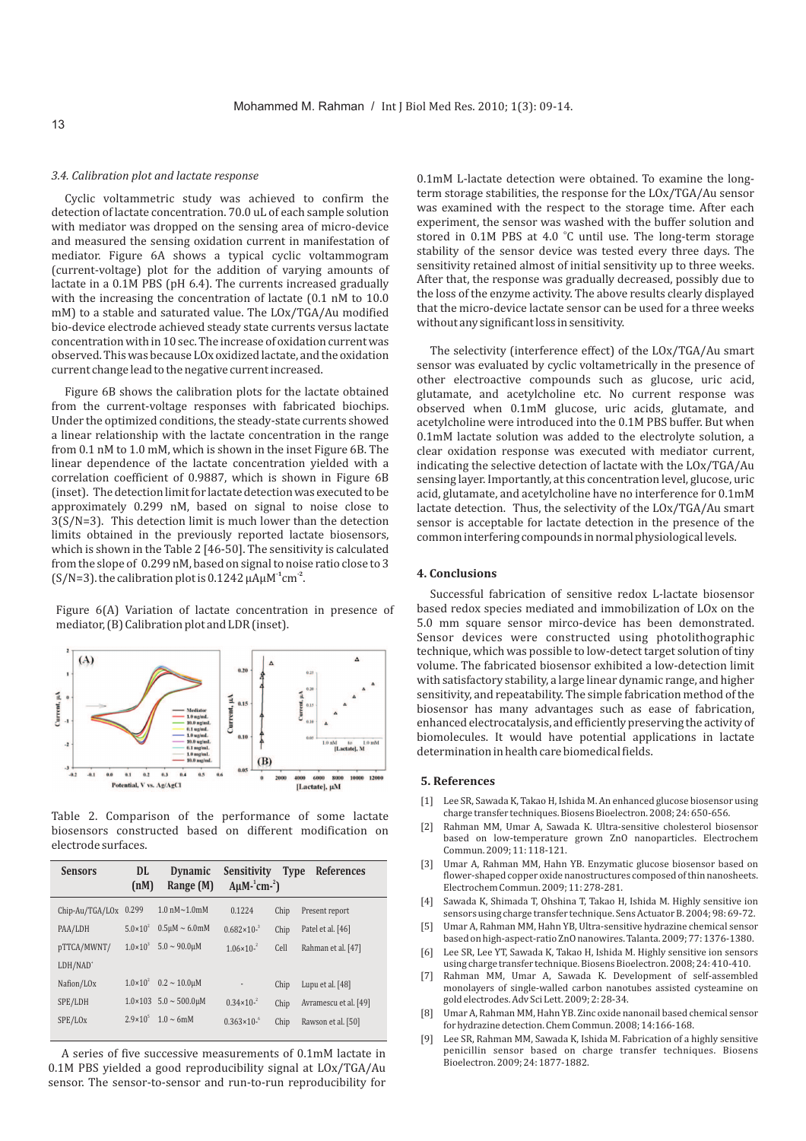# *3.4. Calibration plot and lactate response*

Cyclic voltammetric study was achieved to confirm the detection of lactate concentration. 70.0 uL of each sample solution with mediator was dropped on the sensing area of micro-device and measured the sensing oxidation current in manifestation of mediator. Figure 6A shows a typical cyclic voltammogram (current-voltage) plot for the addition of varying amounts of lactate in a 0.1M PBS (pH 6.4). The currents increased gradually with the increasing the concentration of lactate (0.1 nM to 10.0 mM) to a stable and saturated value. The LOx/TGA/Au modified bio-device electrode achieved steady state currents versus lactate concentration with in 10 sec. The increase of oxidation current was observed. This was because LOx oxidized lactate, and the oxidation current change lead to the negative current increased.

Figure 6B shows the calibration plots for the lactate obtained from the current-voltage responses with fabricated biochips. Under the optimized conditions, the steady-state currents showed a linear relationship with the lactate concentration in the range from 0.1 nM to 1.0 mM, which is shown in the inset Figure 6B. The linear dependence of the lactate concentration yielded with a correlation coefficient of 0.9887, which is shown in Figure 6B (inset). The detection limit for lactate detection was executed to be approximately 0.299 nM, based on signal to noise close to 3(S/N=3). This detection limit is much lower than the detection limits obtained in the previously reported lactate biosensors, which is shown in the Table 2 [46-50]. The sensitivity is calculated from the slope of 0.299 nM, based on signal to noise ratio close to 3  $(S/N=3)$ . the calibration plot is 0.1242  $\mu A \mu M^{-1}$  cm<sup>-2</sup>.

Figure 6(A) Variation of lactate concentration in presence of mediator, (B) Calibration plot and LDR (inset).



Table 2. Comparison of the performance of some lactate biosensors constructed based on different modification on electrode surfaces.

| <b>Sensors</b>         | DL<br>(nM)          | <b>Dynamic</b><br>Range (M)          | Sensitivity<br>$A\mu M$ - $\rm \cdot cm$ - $\rm ^2$ ) | <b>Type</b> | References            |
|------------------------|---------------------|--------------------------------------|-------------------------------------------------------|-------------|-----------------------|
| Chip-Au/TGA/LOx        | 0.299               | $1.0 \text{ nM} \sim 1.0 \text{ mM}$ | 0.1224                                                | Chip        | Present report        |
| PAA/LDH                | $5.0 \times 10^{2}$ | $0.5 \mu M \sim 6.0 \text{m}$ M      | $0.682 \times 10^{-3}$                                | Chip        | Patel et al. [46]     |
| pTTCA/MWNT/            | $1.0 \times 10^{3}$ | $5.0 \sim 90.0 \mu M$                | $1.06 \times 10^{-2}$                                 | Cell        | Rahman et al. [47]    |
| LDH/NAD <sup>+</sup>   |                     |                                      |                                                       |             |                       |
| Nafion/LO <sub>x</sub> | $1.0 \times 10^{2}$ | $0.2 \sim 10.0$ uM                   | $\overline{\phantom{a}}$                              | Chip        | Lupu et al. [48]      |
| SPE/LDH                |                     | $1.0 \times 103$ 5.0 $\sim$ 500.0uM  | $0.34 \times 10^{-2}$                                 | Chip        | Avramescu et al. [49] |
| SPE/LO <sub>x</sub>    | $2.9 \times 10^{5}$ | $1.0 \sim 6$ mM                      | $0.363 \times 10^{-6}$                                | Chip        | Rawson et al. [50]    |
|                        |                     |                                      |                                                       |             |                       |

A series of five successive measurements of 0.1mM lactate in 0.1M PBS yielded a good reproducibility signal at LOx/TGA/Au sensor. The sensor-to-sensor and run-to-run reproducibility for 0.1mM L-lactate detection were obtained. To examine the longterm storage stabilities, the response for the LOx/TGA/Au sensor was examined with the respect to the storage time. After each experiment, the sensor was washed with the buffer solution and stored in 0.1M PBS at 4.0 °C until use. The long-term storage stability of the sensor device was tested every three days. The sensitivity retained almost of initial sensitivity up to three weeks. After that, the response was gradually decreased, possibly due to the loss of the enzyme activity. The above results clearly displayed that the micro-device lactate sensor can be used for a three weeks without any significant loss in sensitivity.

The selectivity (interference effect) of the LOx/TGA/Au smart sensor was evaluated by cyclic voltametrically in the presence of other electroactive compounds such as glucose, uric acid, glutamate, and acetylcholine etc. No current response was observed when 0.1mM glucose, uric acids, glutamate, and acetylcholine were introduced into the 0.1M PBS buffer. But when 0.1mM lactate solution was added to the electrolyte solution, a clear oxidation response was executed with mediator current, indicating the selective detection of lactate with the LOx/TGA/Au sensing layer. Importantly, at this concentration level, glucose, uric acid, glutamate, and acetylcholine have no interference for 0.1mM lactate detection. Thus, the selectivity of the LOx/TGA/Au smart sensor is acceptable for lactate detection in the presence of the common interfering compounds in normal physiological levels.

# **4. Conclusions**

Successful fabrication of sensitive redox L-lactate biosensor based redox species mediated and immobilization of LOx on the 5.0 mm square sensor mirco-device has been demonstrated. Sensor devices were constructed using photolithographic technique, which was possible to low-detect target solution of tiny volume. The fabricated biosensor exhibited a low-detection limit with satisfactory stability, a large linear dynamic range, and higher sensitivity, and repeatability. The simple fabrication method of the biosensor has many advantages such as ease of fabrication, enhanced electrocatalysis, and efficiently preserving the activity of biomolecules. It would have potential applications in lactate determination in health care biomedical fields.

### **5. References**

- [1] Lee SR, Sawada K, Takao H, Ishida M. An enhanced glucose biosensor using charge transfer techniques. Biosens Bioelectron. 2008; 24: 650-656.
- [2] Rahman MM, Umar A, Sawada K. Ultra-sensitive cholesterol biosensor based on low-temperature grown ZnO nanoparticles. Electrochem Commun. 2009; 11: 118-121.
- [3] Umar A, Rahman MM, Hahn YB. Enzymatic glucose biosensor based on flower-shaped copper oxide nanostructures composed of thin nanosheets. Electrochem Commun. 2009; 11: 278-281.
- [4] Sawada K, Shimada T, Ohshina T, Takao H, Ishida M. Highly sensitive ion sensors using charge transfer technique. Sens Actuator B. 2004; 98: 69-72.
- [5] Umar A, Rahman MM, Hahn YB, Ultra-sensitive hydrazine chemical sensor based on high-aspect-ratio ZnO nanowires. Talanta. 2009; 77: 1376-1380.
- [6] Lee SR, Lee YT, Sawada K, Takao H, Ishida M. Highly sensitive ion sensors using charge transfer technique. Biosens Bioelectron. 2008; 24: 410-410.
- [7] Rahman MM, Umar A, Sawada K. Development of self-assembled monolayers of single-walled carbon nanotubes assisted cysteamine on gold electrodes. Adv Sci Lett. 2009; 2: 28-34.
- [8] Umar A, Rahman MM, Hahn YB. Zinc oxide nanonail based chemical sensor for hydrazine detection. Chem Commun. 2008; 14:166-168.
- [9] Lee SR, Rahman MM, Sawada K, Ishida M. Fabrication of a highly sensitive penicillin sensor based on charge transfer techniques. Biosens Bioelectron. 2009; 24: 1877-1882.